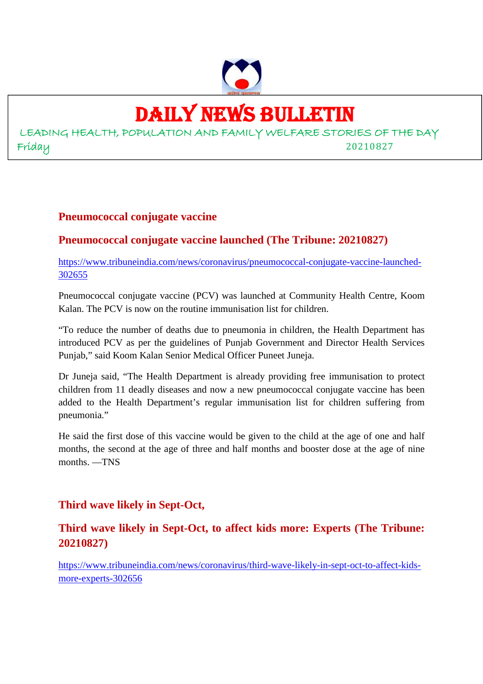

# DAILY NEWS BULLETIN

LEADING HEALTH, POPULATION AND FAMILY WELFARE STORIES OF THE DAY Friday 20210827

#### **Pneumococcal conjugate vaccine**

# **Pneumococcal conjugate vaccine launched (The Tribune: 20210827)**

https://www.tribuneindia.com/news/coronavirus/pneumococcal-conjugate-vaccine-launched-302655

Pneumococcal conjugate vaccine (PCV) was launched at Community Health Centre, Koom Kalan. The PCV is now on the routine immunisation list for children.

"To reduce the number of deaths due to pneumonia in children, the Health Department has introduced PCV as per the guidelines of Punjab Government and Director Health Services Punjab," said Koom Kalan Senior Medical Officer Puneet Juneja.

Dr Juneja said, "The Health Department is already providing free immunisation to protect children from 11 deadly diseases and now a new pneumococcal conjugate vaccine has been added to the Health Department's regular immunisation list for children suffering from pneumonia."

He said the first dose of this vaccine would be given to the child at the age of one and half months, the second at the age of three and half months and booster dose at the age of nine months. —TNS

# **Third wave likely in Sept-Oct,**

# **Third wave likely in Sept-Oct, to affect kids more: Experts (The Tribune: 20210827)**

https://www.tribuneindia.com/news/coronavirus/third-wave-likely-in-sept-oct-to-affect-kidsmore-experts-302656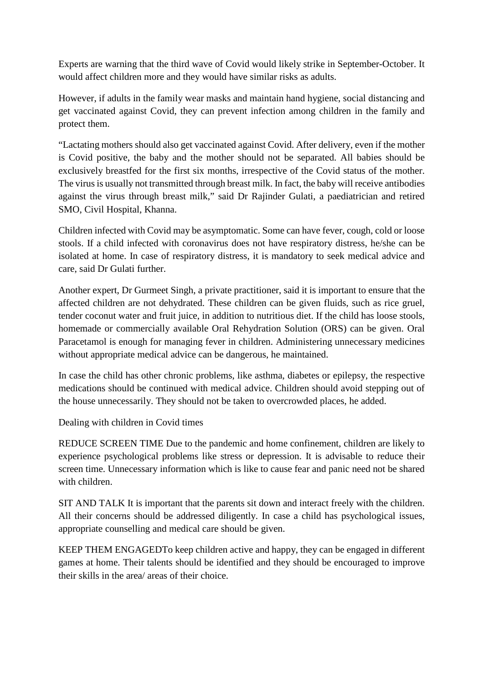Experts are warning that the third wave of Covid would likely strike in September-October. It would affect children more and they would have similar risks as adults.

However, if adults in the family wear masks and maintain hand hygiene, social distancing and get vaccinated against Covid, they can prevent infection among children in the family and protect them.

"Lactating mothers should also get vaccinated against Covid. After delivery, even if the mother is Covid positive, the baby and the mother should not be separated. All babies should be exclusively breastfed for the first six months, irrespective of the Covid status of the mother. The virus is usually not transmitted through breast milk. In fact, the baby will receive antibodies against the virus through breast milk," said Dr Rajinder Gulati, a paediatrician and retired SMO, Civil Hospital, Khanna.

Children infected with Covid may be asymptomatic. Some can have fever, cough, cold or loose stools. If a child infected with coronavirus does not have respiratory distress, he/she can be isolated at home. In case of respiratory distress, it is mandatory to seek medical advice and care, said Dr Gulati further.

Another expert, Dr Gurmeet Singh, a private practitioner, said it is important to ensure that the affected children are not dehydrated. These children can be given fluids, such as rice gruel, tender coconut water and fruit juice, in addition to nutritious diet. If the child has loose stools, homemade or commercially available Oral Rehydration Solution (ORS) can be given. Oral Paracetamol is enough for managing fever in children. Administering unnecessary medicines without appropriate medical advice can be dangerous, he maintained.

In case the child has other chronic problems, like asthma, diabetes or epilepsy, the respective medications should be continued with medical advice. Children should avoid stepping out of the house unnecessarily. They should not be taken to overcrowded places, he added.

Dealing with children in Covid times

REDUCE SCREEN TIME Due to the pandemic and home confinement, children are likely to experience psychological problems like stress or depression. It is advisable to reduce their screen time. Unnecessary information which is like to cause fear and panic need not be shared with children.

SIT AND TALK It is important that the parents sit down and interact freely with the children. All their concerns should be addressed diligently. In case a child has psychological issues, appropriate counselling and medical care should be given.

KEEP THEM ENGAGEDTo keep children active and happy, they can be engaged in different games at home. Their talents should be identified and they should be encouraged to improve their skills in the area/ areas of their choice.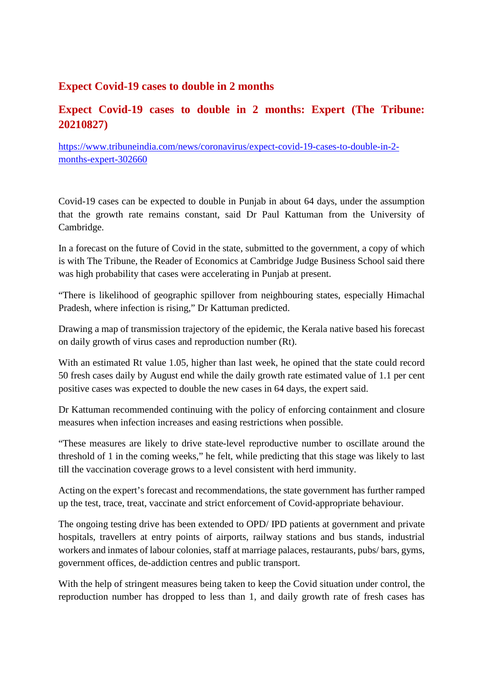#### **Expect Covid-19 cases to double in 2 months**

# **Expect Covid-19 cases to double in 2 months: Expert (The Tribune: 20210827)**

https://www.tribuneindia.com/news/coronavirus/expect-covid-19-cases-to-double-in-2 months-expert-302660

Covid-19 cases can be expected to double in Punjab in about 64 days, under the assumption that the growth rate remains constant, said Dr Paul Kattuman from the University of Cambridge.

In a forecast on the future of Covid in the state, submitted to the government, a copy of which is with The Tribune, the Reader of Economics at Cambridge Judge Business School said there was high probability that cases were accelerating in Punjab at present.

"There is likelihood of geographic spillover from neighbouring states, especially Himachal Pradesh, where infection is rising," Dr Kattuman predicted.

Drawing a map of transmission trajectory of the epidemic, the Kerala native based his forecast on daily growth of virus cases and reproduction number (Rt).

With an estimated Rt value 1.05, higher than last week, he opined that the state could record 50 fresh cases daily by August end while the daily growth rate estimated value of 1.1 per cent positive cases was expected to double the new cases in 64 days, the expert said.

Dr Kattuman recommended continuing with the policy of enforcing containment and closure measures when infection increases and easing restrictions when possible.

"These measures are likely to drive state-level reproductive number to oscillate around the threshold of 1 in the coming weeks," he felt, while predicting that this stage was likely to last till the vaccination coverage grows to a level consistent with herd immunity.

Acting on the expert's forecast and recommendations, the state government has further ramped up the test, trace, treat, vaccinate and strict enforcement of Covid-appropriate behaviour.

The ongoing testing drive has been extended to OPD/ IPD patients at government and private hospitals, travellers at entry points of airports, railway stations and bus stands, industrial workers and inmates of labour colonies, staff at marriage palaces, restaurants, pubs/ bars, gyms, government offices, de-addiction centres and public transport.

With the help of stringent measures being taken to keep the Covid situation under control, the reproduction number has dropped to less than 1, and daily growth rate of fresh cases has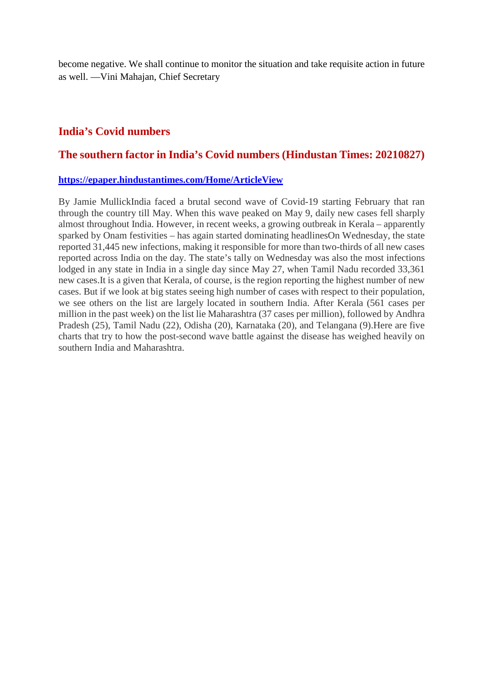become negative. We shall continue to monitor the situation and take requisite action in future as well. —Vini Mahajan, Chief Secretary

#### **India's Covid numbers**

#### **The southern factor in India's Covid numbers (Hindustan Times: 20210827)**

#### **https://epaper.hindustantimes.com/Home/ArticleView**

By Jamie MullickIndia faced a brutal second wave of Covid-19 starting February that ran through the country till May. When this wave peaked on May 9, daily new cases fell sharply almost throughout India. However, in recent weeks, a growing outbreak in Kerala – apparently sparked by Onam festivities – has again started dominating headlinesOn Wednesday, the state reported 31,445 new infections, making it responsible for more than two-thirds of all new cases reported across India on the day. The state's tally on Wednesday was also the most infections lodged in any state in India in a single day since May 27, when Tamil Nadu recorded 33,361 new cases.It is a given that Kerala, of course, is the region reporting the highest number of new cases. But if we look at big states seeing high number of cases with respect to their population, we see others on the list are largely located in southern India. After Kerala (561 cases per million in the past week) on the list lie Maharashtra (37 cases per million), followed by Andhra Pradesh (25), Tamil Nadu (22), Odisha (20), Karnataka (20), and Telangana (9).Here are five charts that try to how the post-second wave battle against the disease has weighed heavily on southern India and Maharashtra.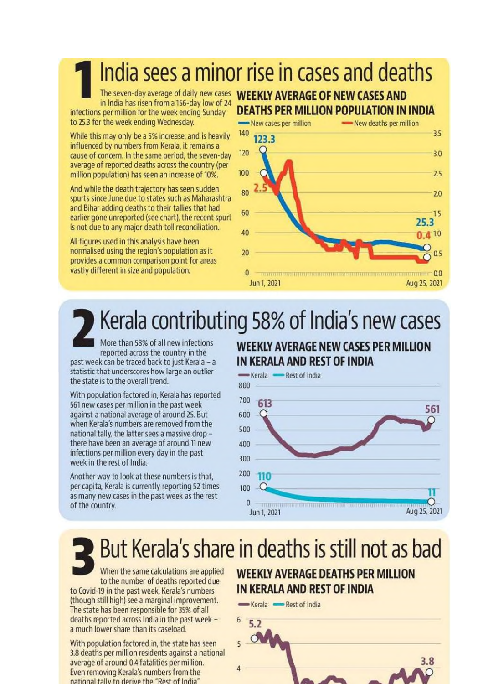India sees a minor rise in cases and deaths

The seven-day average of daily new cases in India has risen from a 156-day low of 24 infections per million for the week ending Sunday to 25.3 for the week ending Wednesday.

While this may only be a 5% increase, and is heavily influenced by numbers from Kerala, it remains a cause of concern. In the same period, the seven-day average of reported deaths across the country (per million population) has seen an increase of 10%.

And while the death trajectory has seen sudden spurts since June due to states such as Maharashtra and Bihar adding deaths to their tallies that had earlier gone unreported (see chart), the recent spurt is not due to any major death toll reconciliation.

All figures used in this analysis have been normalised using the region's population as it provides a common comparison point for areas vastly different in size and population.

# **WEEKLY AVERAGE OF NEW CASES AND** DEATHS PER MILLION POPULATION IN INDIA



# Kerala contributing 58% of India's new cases

More than 58% of all new infections reported across the country in the past week can be traced back to just Kerala - a statistic that underscores how large an outlier the state is to the overall trend.

With population factored in, Kerala has reported 561 new cases per million in the past week against a national average of around 25. But when Kerala's numbers are removed from the national tally, the latter sees a massive drop there have been an average of around 11 new infections per million every day in the past week in the rest of India.

Another way to look at these numbers is that. per capita. Kerala is currently reporting 52 times as many new cases in the past week as the rest of the country.

# **WEEKLY AVERAGE NEW CASES PER MILLION** IN KERALA AND REST OF INDIA



# But Kerala's share in deaths is still not as bad

When the same calculations are applied to the number of deaths reported due to Covid-19 in the past week, Kerala's numbers (though still high) see a marginal improvement. The state has been responsible for 35% of all deaths reported across India in the past week a much lower share than its caseload.

With population factored in, the state has seen 3.8 deaths per million residents against a national average of around 0.4 fatalities per million. Even removing Kerala's numbers from the national tally to derive the "Rest of India"

# **WEEKLY AVERAGE DEATHS PER MILLION** IN KERALA AND REST OF INDIA

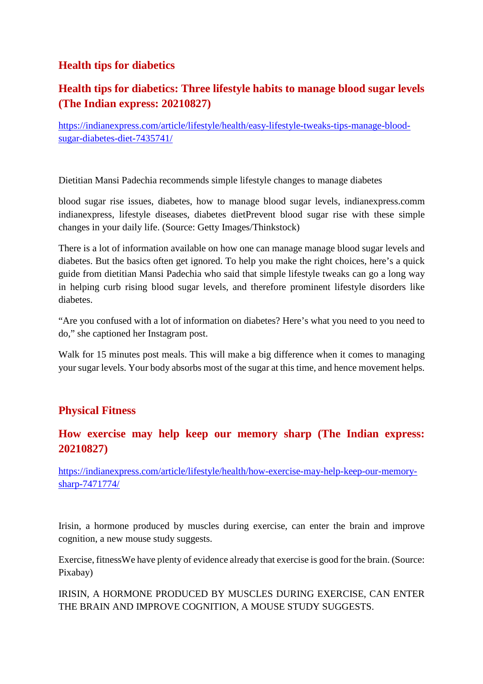# **Health tips for diabetics**

# **Health tips for diabetics: Three lifestyle habits to manage blood sugar levels (The Indian express: 20210827)**

https://indianexpress.com/article/lifestyle/health/easy-lifestyle-tweaks-tips-manage-bloodsugar-diabetes-diet-7435741/

Dietitian Mansi Padechia recommends simple lifestyle changes to manage diabetes

blood sugar rise issues, diabetes, how to manage blood sugar levels, indianexpress.comm indianexpress, lifestyle diseases, diabetes dietPrevent blood sugar rise with these simple changes in your daily life. (Source: Getty Images/Thinkstock)

There is a lot of information available on how one can manage manage blood sugar levels and diabetes. But the basics often get ignored. To help you make the right choices, here's a quick guide from dietitian Mansi Padechia who said that simple lifestyle tweaks can go a long way in helping curb rising blood sugar levels, and therefore prominent lifestyle disorders like diabetes.

"Are you confused with a lot of information on diabetes? Here's what you need to you need to do," she captioned her Instagram post.

Walk for 15 minutes post meals. This will make a big difference when it comes to managing your sugar levels. Your body absorbs most of the sugar at this time, and hence movement helps.

#### **Physical Fitness**

### **How exercise may help keep our memory sharp (The Indian express: 20210827)**

https://indianexpress.com/article/lifestyle/health/how-exercise-may-help-keep-our-memorysharp-7471774/

Irisin, a hormone produced by muscles during exercise, can enter the brain and improve cognition, a new mouse study suggests.

Exercise, fitnessWe have plenty of evidence already that exercise is good for the brain. (Source: Pixabay)

IRISIN, A HORMONE PRODUCED BY MUSCLES DURING EXERCISE, CAN ENTER THE BRAIN AND IMPROVE COGNITION, A MOUSE STUDY SUGGESTS.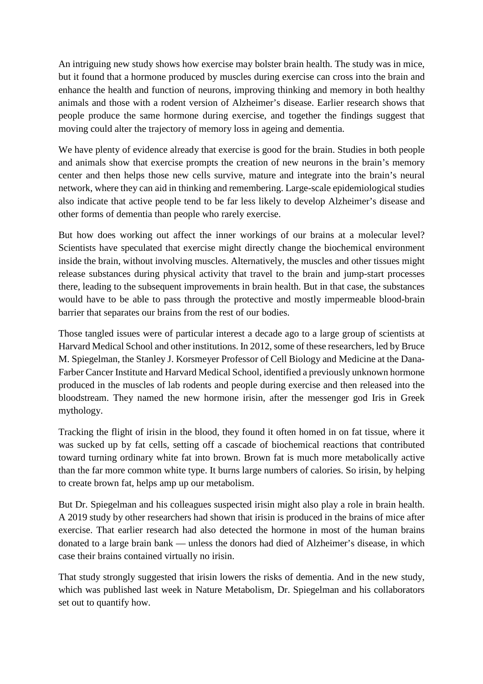An intriguing new study shows how exercise may bolster brain health. The study was in mice, but it found that a hormone produced by muscles during exercise can cross into the brain and enhance the health and function of neurons, improving thinking and memory in both healthy animals and those with a rodent version of Alzheimer's disease. Earlier research shows that people produce the same hormone during exercise, and together the findings suggest that moving could alter the trajectory of memory loss in ageing and dementia.

We have plenty of evidence already that exercise is good for the brain. Studies in both people and animals show that exercise prompts the creation of new neurons in the brain's memory center and then helps those new cells survive, mature and integrate into the brain's neural network, where they can aid in thinking and remembering. Large-scale epidemiological studies also indicate that active people tend to be far less likely to develop Alzheimer's disease and other forms of dementia than people who rarely exercise.

But how does working out affect the inner workings of our brains at a molecular level? Scientists have speculated that exercise might directly change the biochemical environment inside the brain, without involving muscles. Alternatively, the muscles and other tissues might release substances during physical activity that travel to the brain and jump-start processes there, leading to the subsequent improvements in brain health. But in that case, the substances would have to be able to pass through the protective and mostly impermeable blood-brain barrier that separates our brains from the rest of our bodies.

Those tangled issues were of particular interest a decade ago to a large group of scientists at Harvard Medical School and other institutions. In 2012, some of these researchers, led by Bruce M. Spiegelman, the Stanley J. Korsmeyer Professor of Cell Biology and Medicine at the Dana-Farber Cancer Institute and Harvard Medical School, identified a previously unknown hormone produced in the muscles of lab rodents and people during exercise and then released into the bloodstream. They named the new hormone irisin, after the messenger god Iris in Greek mythology.

Tracking the flight of irisin in the blood, they found it often homed in on fat tissue, where it was sucked up by fat cells, setting off a cascade of biochemical reactions that contributed toward turning ordinary white fat into brown. Brown fat is much more metabolically active than the far more common white type. It burns large numbers of calories. So irisin, by helping to create brown fat, helps amp up our metabolism.

But Dr. Spiegelman and his colleagues suspected irisin might also play a role in brain health. A 2019 study by other researchers had shown that irisin is produced in the brains of mice after exercise. That earlier research had also detected the hormone in most of the human brains donated to a large brain bank — unless the donors had died of Alzheimer's disease, in which case their brains contained virtually no irisin.

That study strongly suggested that irisin lowers the risks of dementia. And in the new study, which was published last week in Nature Metabolism, Dr. Spiegelman and his collaborators set out to quantify how.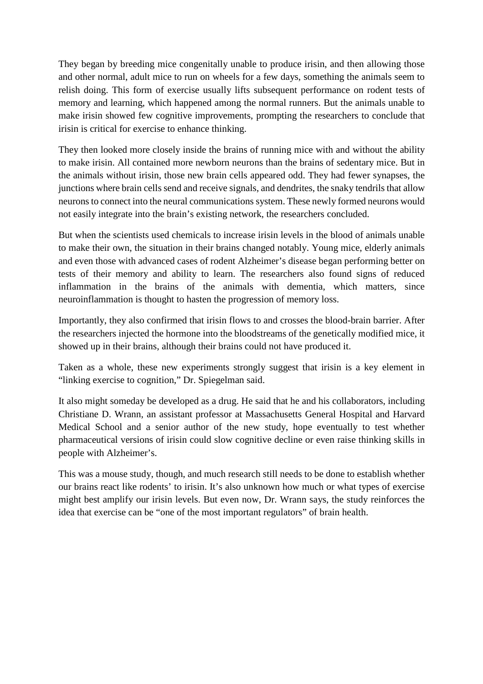They began by breeding mice congenitally unable to produce irisin, and then allowing those and other normal, adult mice to run on wheels for a few days, something the animals seem to relish doing. This form of exercise usually lifts subsequent performance on rodent tests of memory and learning, which happened among the normal runners. But the animals unable to make irisin showed few cognitive improvements, prompting the researchers to conclude that irisin is critical for exercise to enhance thinking.

They then looked more closely inside the brains of running mice with and without the ability to make irisin. All contained more newborn neurons than the brains of sedentary mice. But in the animals without irisin, those new brain cells appeared odd. They had fewer synapses, the junctions where brain cells send and receive signals, and dendrites, the snaky tendrils that allow neurons to connect into the neural communications system. These newly formed neurons would not easily integrate into the brain's existing network, the researchers concluded.

But when the scientists used chemicals to increase irisin levels in the blood of animals unable to make their own, the situation in their brains changed notably. Young mice, elderly animals and even those with advanced cases of rodent Alzheimer's disease began performing better on tests of their memory and ability to learn. The researchers also found signs of reduced inflammation in the brains of the animals with dementia, which matters, since neuroinflammation is thought to hasten the progression of memory loss.

Importantly, they also confirmed that irisin flows to and crosses the blood-brain barrier. After the researchers injected the hormone into the bloodstreams of the genetically modified mice, it showed up in their brains, although their brains could not have produced it.

Taken as a whole, these new experiments strongly suggest that irisin is a key element in "linking exercise to cognition," Dr. Spiegelman said.

It also might someday be developed as a drug. He said that he and his collaborators, including Christiane D. Wrann, an assistant professor at Massachusetts General Hospital and Harvard Medical School and a senior author of the new study, hope eventually to test whether pharmaceutical versions of irisin could slow cognitive decline or even raise thinking skills in people with Alzheimer's.

This was a mouse study, though, and much research still needs to be done to establish whether our brains react like rodents' to irisin. It's also unknown how much or what types of exercise might best amplify our irisin levels. But even now, Dr. Wrann says, the study reinforces the idea that exercise can be "one of the most important regulators" of brain health.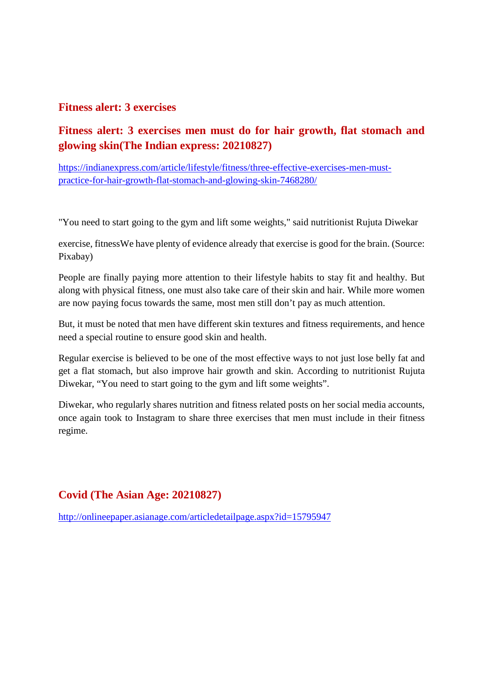#### **Fitness alert: 3 exercises**

# **Fitness alert: 3 exercises men must do for hair growth, flat stomach and glowing skin(The Indian express: 20210827)**

https://indianexpress.com/article/lifestyle/fitness/three-effective-exercises-men-mustpractice-for-hair-growth-flat-stomach-and-glowing-skin-7468280/

"You need to start going to the gym and lift some weights," said nutritionist Rujuta Diwekar

exercise, fitnessWe have plenty of evidence already that exercise is good for the brain. (Source: Pixabay)

People are finally paying more attention to their lifestyle habits to stay fit and healthy. But along with physical fitness, one must also take care of their skin and hair. While more women are now paying focus towards the same, most men still don't pay as much attention.

But, it must be noted that men have different skin textures and fitness requirements, and hence need a special routine to ensure good skin and health.

Regular exercise is believed to be one of the most effective ways to not just lose belly fat and get a flat stomach, but also improve hair growth and skin. According to nutritionist Rujuta Diwekar, "You need to start going to the gym and lift some weights".

Diwekar, who regularly shares nutrition and fitness related posts on her social media accounts, once again took to Instagram to share three exercises that men must include in their fitness regime.

#### **Covid (The Asian Age: 20210827)**

http://onlineepaper.asianage.com/articledetailpage.aspx?id=15795947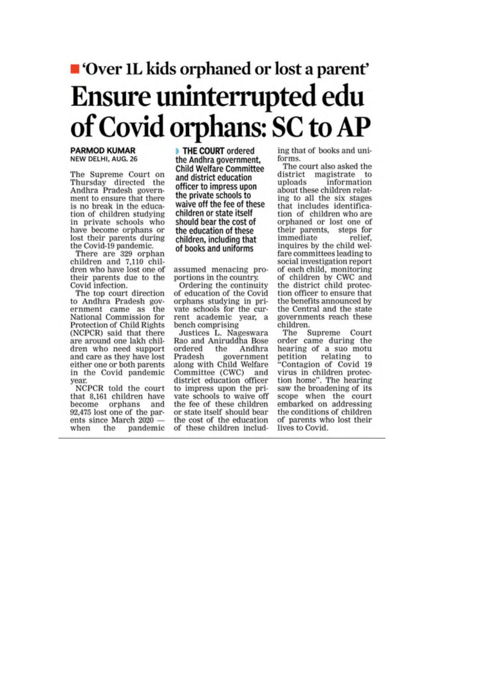# ■ 'Over 1L kids orphaned or lost a parent' Ensure uninterrupted edu of Covid orphans: SC to AP

#### **PARMOD KUMAR** NEW DELHI, AUG. 26

The Supreme Court on Thursday directed the Andhra Pradesh government to ensure that there is no break in the education of children studying in private schools who have become orphans or lost their parents during the Covid-19 pandemic.

There are 329 orphan children and 7,110 children who have lost one of their parents due to the Covid infection.

The top court direction to Andhra Pradesh government came as the National Commission for Protection of Child Rights (NCPCR) said that there are around one lakh children who need support and care as they have lost either one or both parents in the Covid pandemic year.

NCPCR told the court that 8,161 children have become orphans and 92,475 lost one of the parents since March 2020 when the pandemic THE COURT ordered the Andhra government. **Child Welfare Committee** and district education officer to impress upon the private schools to waive off the fee of these children or state itself should bear the cost of the education of these children, including that of books and uniforms

assumed menacing proportions in the country.

Ordering the continuity of education of the Covid orphans studying in private schools for the current academic year, a bench comprising

Justices L. Nageswara Rao and Aniruddha Bose ordered the Andhra government Pradesh along with Child Welfare Committee (CWC) and district education officer to impress upon the private schools to waive off the fee of these children or state itself should bear the cost of the education of these children including that of books and uniforms

The court also asked the district magistrate to uploads information about these children relating to all the six stages that includes identification of children who are orphaned or lost one of their parents, steps for immediate relief. inquires by the child welfare committees leading to social investigation report of each child, monitoring of children by CWC and the district child protection officer to ensure that the benefits announced by the Central and the state governments reach these children.

The Supreme Court order came during the hearing of a suo motu relating petition to "Contagion of Covid 19<br>virus in children protection home". The hearing saw the broadening of its scope when the court embarked on addressing the conditions of children of parents who lost their lives to Covid.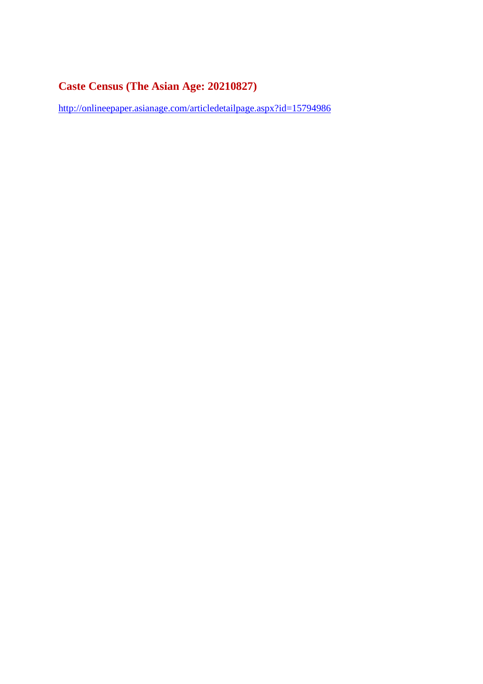# **Caste Census (The Asian Age: 20210827)**

http://onlineepaper.asianage.com/articledetailpage.aspx?id=15794986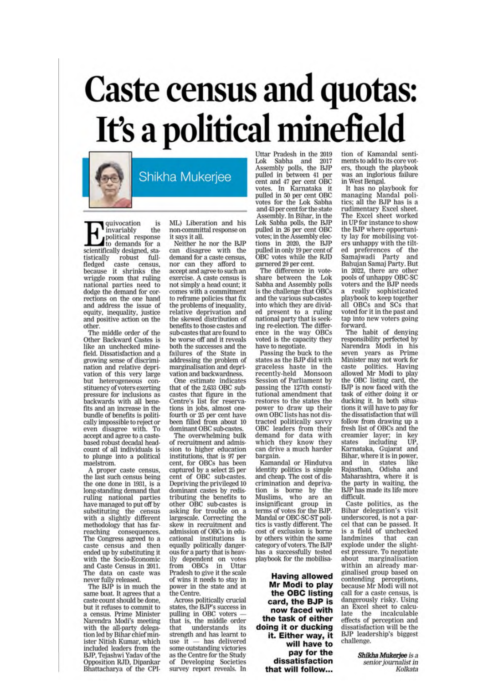# **Caste census and quotas:** It's a political minefield



Shikha Mukerjee

quivocation is the invariably political response to demands for a scientifically designed, statistically robust fullfledged caste census, because it shrinks the wriggle room that ruling national parties need to dodge the demand for corrections on the one hand and address the issue of equity, inequality, justice and positive action on the other.

The middle order of the Other Backward Castes is like an unchecked minefield. Dissatisfaction and a growing sense of discrimination and relative deprivation of this very large but heterogeneous constituency of voters exerting pressure for inclusions as backwards with all benefits and an increase in the bundle of benefits is politically impossible to reject or even disagree with. To accept and agree to a castebased robust decadal headcount of all individuals is to plunge into a political maelstrom.

A proper caste census, the last such census being the one done in 1931, is a long-standing demand that ruling national parties<br>have managed to put off by substituting the census<br>with a slightly different methodology that has farreaching consequences. The Congress agreed to a caste census and then ended up by substituting it with the Socio-Economic and Caste Census in 2011. The data on caste was never fully released.

The BJP is in much the same boat. It agrees that a caste count should be done. but it refuses to commit to a census. Prime Minister Narendra Modi's meeting with the all-party delegation led by Bihar chief minister Nitish Kumar, which included leaders from the B.IP. Tejashwi Yadav of the Opposition RJD, Dipankar<br>Bhattacharya of the CPI- ML) Liberation and his non-committal response on it says it all.

Neither he nor the BJP can disagree with the demand for a caste census, nor can they afford to accept and agree to such an exercise. A caste census is not simply a head count; it comes with a commitment to reframe policies that fix the problems of inequality. relative deprivation and the skewed distribution of benefits to those castes and sub-castes that are found to be worse off and it reveals both the successes and the failures of the State in addressing the problem of marginalisation and deprivation and backwardness.

One estimate indicates that of the 2,633 OBC subcastes that figure in the Centre's list for reservations in jobs, almost onefourth or 25 per cent have been filled from about 10 dominant OBC sub-castes.

The overwhelming bulk of recruitment and admission to higher education institutions, that is 97 per cent. for OBCs has been captured by a select 25 per cent of OBC sub-castes. Depriving the privileged 10 dominant castes by redistributing the benefits to other OBC sub-castes is<br>asking for trouble on a<br>largescale. Correcting the skew in recruitment and admission of OBCs in educational institutions is equally politically dangerous for a party that is heavily dependent on votes OBCs in Uttar from Pradesh to give it the scale of wins it needs to stay in power in the state and at the Centre.

Across politically crucial states, the BJP's success in<br>pulling in OBC voters that is, the middle order understands that its strength and has learnt to use  $it$   $-$  has delivered some outstanding victories as the Centre for the Study of Developing Societies<br>survey report reveals. In Uttar Pradesh in the 2019<br>Lok Sabha and 2017<br>Assembly polls, the BJP<br>pulled in between 41 per<br>cent and 47 per cent OBC votes. In Karnataka it<br>pulled in 50 per cent OBC<br>votes for the Lok Sabha and 43 per cent for the state Assembly. In Bihar, in the Lok Sabha polls, the BJP pulled in 26 per cent OBC votes; in the Assembly elections in 2020, the BJP pulled in only 19 per cent of OBC votes while the RJD garnered 29 per cent.

The difference in vote-<br>share between the Lok Sabha and Assembly polls is the challenge that OBCs and the various sub-castes into which they are divided present to a ruling national party that is seeking re-election. The difference in the way OBCs voted is the capacity they have to negotiate.

Passing the buck to the states as the BJP did with graceless haste in the recently-held Monsoon Session of Parliament by passing the 127th constitutional amendment that restores to the states the power to draw up their own OBC lists has not distracted politically savvy OBC leaders from their demand for data with which they know they can drive a much harder bargain.

Kamandal or Hindutva identity politics is simple and cheap. The cost of discrimination and deprivation is borne by the Muslims, who are an insignificant group in terms of votes for the BJP. Mandal or OBC-SC-ST politics is vastly different. The cost of exclusion is borne by others within the same category of voters. The BJP has a successfully tested playbook for the mobilisa-

**Having allowed** Mr Modi to play the OBC listing card, the BJP is now faced with the task of either doing it or ducking it. Either way, it will have to pay for the dissatisfaction that will follow...

tion of Kamandal sentiments to add to its core voters, though the playbook was an inglorious failure in West Bengal.

It has no playbook for managing Mandal politics; all the BJP has is a rudimentary Excel sheet. The Excel sheet worked in UP for instance to show the BJP where opportunity lay for mobilising voters unhappy with the tilted preferences of the Samajwadi Party and Bahujan Samaj Party. But in 2022, there are other pools of unhappy OBC-SC voters and the BJP needs a really sophisticated<br>playbook to keep together all OBCs and SCs that voted for it in the past and tap into new voters going forward.

The habit of denying responsibility perfected by Narendra Modi in his seven years as Prime Minister may not work for caste politics. Having allowed Mr Modi to play the OBC listing card, the BJP is now faced with the task of either doing it or ducking it. In both situations it will have to pay for the dissatisfaction that will follow from drawing up a fresh list of OBCs and the creamier layer; in key states including UP Karnataka, Gujarat and Bihar, where it is in power, like and in states Rajasthan. Odisha and Maharashtra, where it is the party in waiting, the BJP has made its life more difficult.

Caste politics, as the Bihar delegation's visit underscored, is not a parcel that can be passed. It is a field of unchecked that landmines can explode under the slightest pressure. To negotiate about marginalisation within an already marginalised group based on contending perceptions,<br>because Mr Modi will not call for a caste census, is dangerously risky. Using an Excel sheet to calculate the incalculable effects of perception and dissatisfaction will be the BJP leadership's biggest challenge.

> Shikha Mukerjee is a senior journalist in Kolkata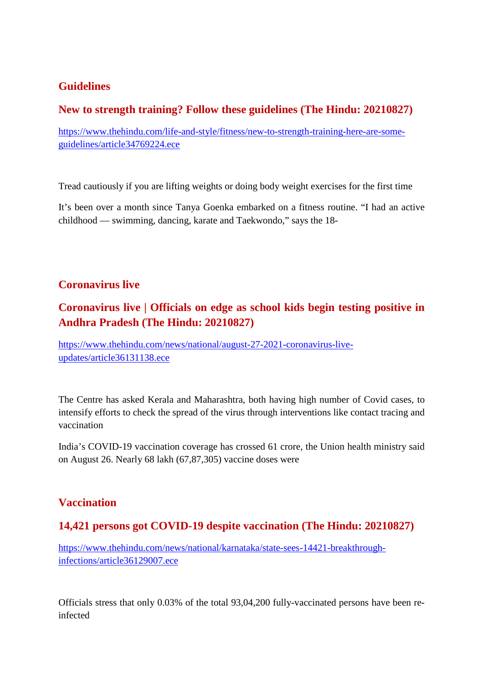### **Guidelines**

#### **New to strength training? Follow these guidelines (The Hindu: 20210827)**

https://www.thehindu.com/life-and-style/fitness/new-to-strength-training-here-are-someguidelines/article34769224.ece

Tread cautiously if you are lifting weights or doing body weight exercises for the first time

It's been over a month since Tanya Goenka embarked on a fitness routine. "I had an active childhood — swimming, dancing, karate and Taekwondo," says the 18-

#### **Coronavirus live**

# **Coronavirus live | Officials on edge as school kids begin testing positive in Andhra Pradesh (The Hindu: 20210827)**

https://www.thehindu.com/news/national/august-27-2021-coronavirus-liveupdates/article36131138.ece

The Centre has asked Kerala and Maharashtra, both having high number of Covid cases, to intensify efforts to check the spread of the virus through interventions like contact tracing and vaccination

India's COVID-19 vaccination coverage has crossed 61 crore, the Union health ministry said on August 26. Nearly 68 lakh (67,87,305) vaccine doses were

#### **Vaccination**

# **14,421 persons got COVID-19 despite vaccination (The Hindu: 20210827)**

https://www.thehindu.com/news/national/karnataka/state-sees-14421-breakthroughinfections/article36129007.ece

Officials stress that only 0.03% of the total 93,04,200 fully-vaccinated persons have been reinfected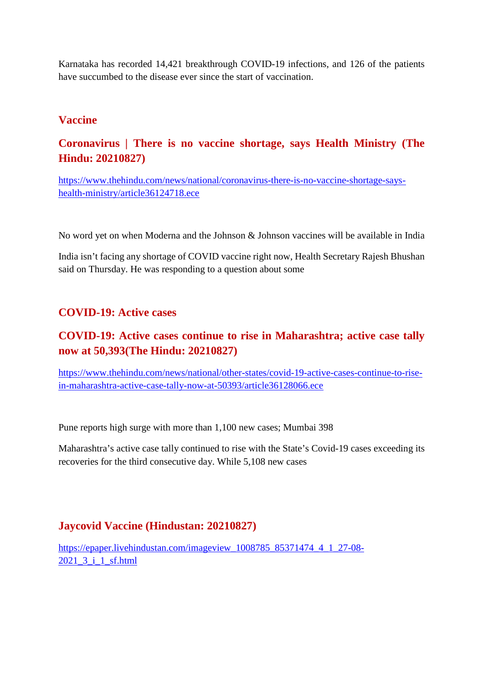Karnataka has recorded 14,421 breakthrough COVID-19 infections, and 126 of the patients have succumbed to the disease ever since the start of vaccination.

#### **Vaccine**

# **Coronavirus | There is no vaccine shortage, says Health Ministry (The Hindu: 20210827)**

https://www.thehindu.com/news/national/coronavirus-there-is-no-vaccine-shortage-sayshealth-ministry/article36124718.ece

No word yet on when Moderna and the Johnson & Johnson vaccines will be available in India

India isn't facing any shortage of COVID vaccine right now, Health Secretary Rajesh Bhushan said on Thursday. He was responding to a question about some

### **COVID-19: Active cases**

# **COVID-19: Active cases continue to rise in Maharashtra; active case tally now at 50,393(The Hindu: 20210827)**

https://www.thehindu.com/news/national/other-states/covid-19-active-cases-continue-to-risein-maharashtra-active-case-tally-now-at-50393/article36128066.ece

Pune reports high surge with more than 1,100 new cases; Mumbai 398

Maharashtra's active case tally continued to rise with the State's Covid-19 cases exceeding its recoveries for the third consecutive day. While 5,108 new cases

#### **Jaycovid Vaccine (Hindustan: 20210827)**

https://epaper.livehindustan.com/imageview\_1008785\_85371474\_4\_1\_27-08- 2021\_3\_i\_1\_sf.html